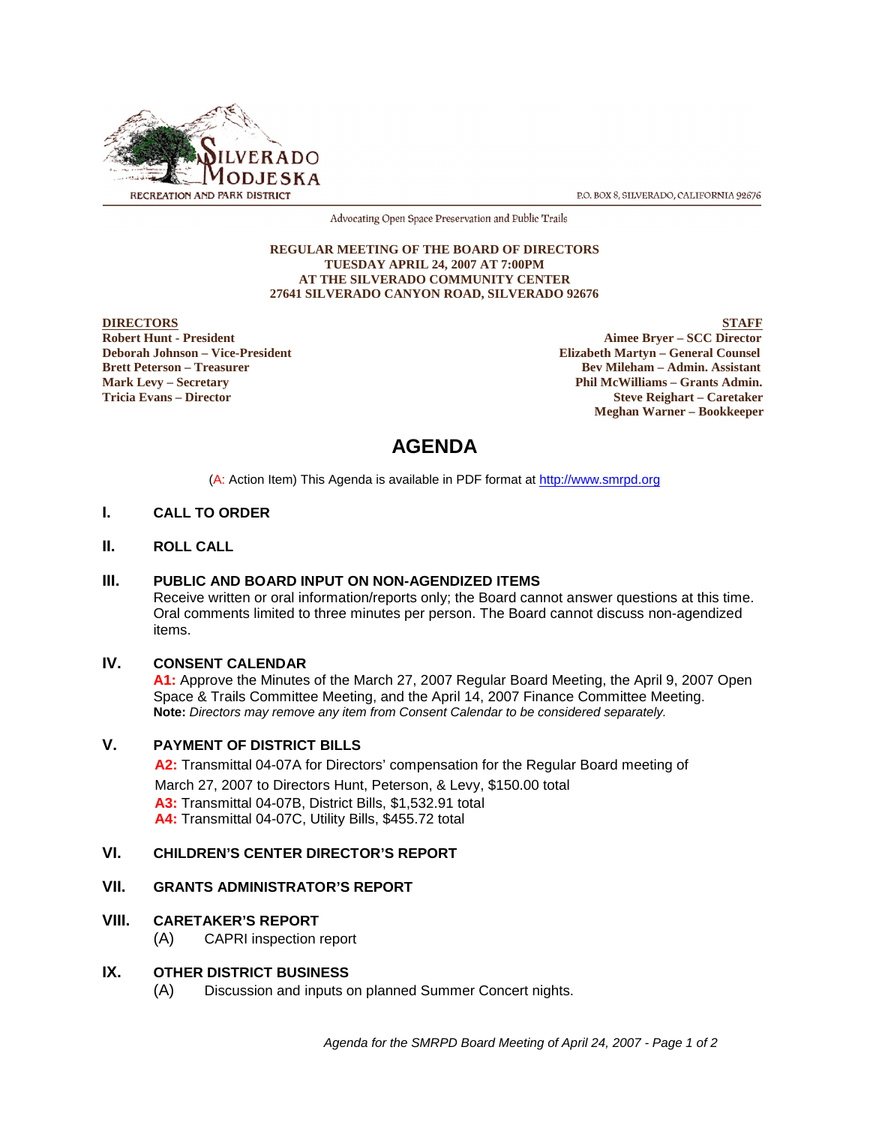

P.O. BOX 8, SILVERADO, CALIFORNIA 92676

Advocating Open Space Preservation and Public Trails

#### **REGULAR MEETING OF THE BOARD OF DIRECTORS TUESDAY APRIL 24, 2007 AT 7:00PM AT THE SILVERADO COMMUNITY CENTER 27641 SILVERADO CANYON ROAD, SILVERADO 92676**

**DIRECTORS** STAFF **Robert Hunt - President Aimee Bryer – SCC Director Deborah Johnson – Vice-President Elizabeth Martyn – General Counsel Bev Mileham – Admin. Assistant Mark Levy – Secretary Phil McWilliams – Grants Admin. Tricia Evans – Director Steve Reighart – Caretaker Meghan Warner – Bookkeeper**

# **AGENDA**

(A: Action Item) This Agenda is available in PDF format at http://www.smrpd.org

#### **I. CALL TO ORDER**

#### **II. ROLL CALL**

#### **III. PUBLIC AND BOARD INPUT ON NON-AGENDIZED ITEMS**

Receive written or oral information/reports only; the Board cannot answer questions at this time. Oral comments limited to three minutes per person. The Board cannot discuss non-agendized items.

#### **IV. CONSENT CALENDAR**

**A1:** Approve the Minutes of the March 27, 2007 Regular Board Meeting, the April 9, 2007 Open Space & Trails Committee Meeting, and the April 14, 2007 Finance Committee Meeting. **Note:** *Directors may remove any item from Consent Calendar to be considered separately.*

## **V. PAYMENT OF DISTRICT BILLS**

**A2:**Transmittal 04-07A for Directors' compensation for the Regular Board meeting of March 27, 2007 to Directors Hunt, Peterson, & Levy, \$150.00 total **A3:** Transmittal 04-07B, District Bills, \$1,532.91 total **A4:** Transmittal 04-07C, Utility Bills, \$455.72 total

## **VI. CHILDREN'S CENTER DIRECTOR'S REPORT**

#### **VII. GRANTS ADMINISTRATOR'S REPORT**

#### **VIII. CARETAKER'S REPORT**

(A) CAPRI inspection report

#### **IX. OTHER DISTRICT BUSINESS**

(A) Discussion and inputs on planned Summer Concert nights.